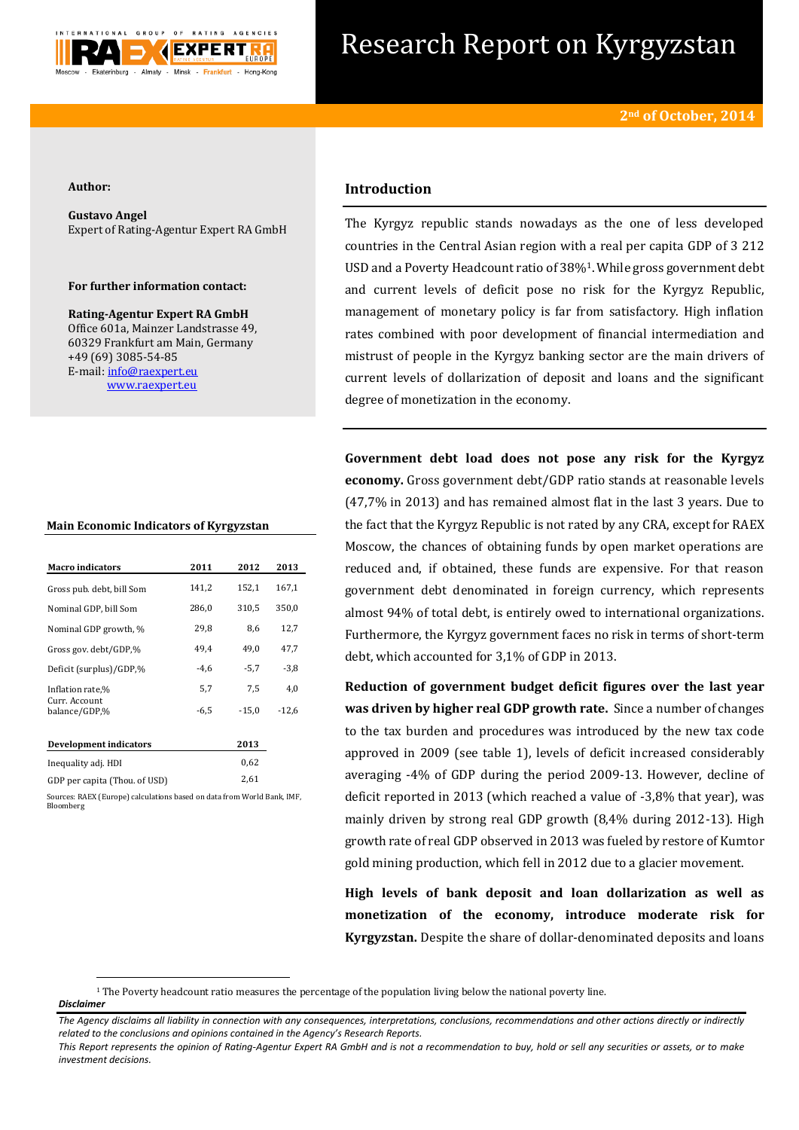

# Research Report on Kyrgyzstan

#### **Author:**

**Gustavo Angel** Expert of Rating-Agentur Expert RA GmbH

#### **For further information contact:**

**Rating-Agentur Expert RA GmbH** Office 601a, Mainzer Landstrasse 49, 60329 Frankfurt am Main, Germany +49 (69) 3085-54-85 E-mail[: info@raexpert.eu](mailto:info@raexpert.eu) [www.raexpert.eu](http://raexpert.eu/)

#### **Main Economic Indicators of Kyrgyzstan**

| <b>Macro indicators</b>         | 2011   | 2012    | 2013    |
|---------------------------------|--------|---------|---------|
| Gross pub. debt, bill Som       | 141,2  | 152,1   | 167,1   |
| Nominal GDP, bill Som           | 286,0  | 310,5   | 350,0   |
| Nominal GDP growth, %           | 29.8   | 8,6     | 12,7    |
| Gross gov. debt/GDP,%           | 49.4   | 49.0    | 47,7    |
| Deficit (surplus)/GDP.%         | $-4,6$ | $-5,7$  | $-3,8$  |
| Inflation rate,%                | 5,7    | 7,5     | 4,0     |
| Curr. Account.<br>balance/GDP,% | $-6.5$ | $-15.0$ | $-12.6$ |
| Development indicators          |        | 2013    |         |
| Inequality adj. HDI             |        | 0.62    |         |

| GDP per capita (Thou. of USD) |             |  |  |  |  |  |  |  | 2.61 |  |  |
|-------------------------------|-------------|--|--|--|--|--|--|--|------|--|--|
|                               | _ _ _ _ _ _ |  |  |  |  |  |  |  |      |  |  |

ources: RAEX (Europe) calculations based on data from World Bank, IMF, Bloomberg

## **Introduction**

The Kyrgyz republic stands nowadays as the one of less developed countries in the Central Asian region with a real per capita GDP of 3 212 USD and a Poverty Headcount ratio of 38%1. While gross government debt and current levels of deficit pose no risk for the Kyrgyz Republic, management of monetary policy is far from satisfactory. High inflation rates combined with poor development of financial intermediation and mistrust of people in the Kyrgyz banking sector are the main drivers of current levels of dollarization of deposit and loans and the significant degree of monetization in the economy.

**Government debt load does not pose any risk for the Kyrgyz economy.** Gross government debt/GDP ratio stands at reasonable levels (47,7% in 2013) and has remained almost flat in the last 3 years. Due to the fact that the Kyrgyz Republic is not rated by any CRA, except for RAEX Moscow, the chances of obtaining funds by open market operations are reduced and, if obtained, these funds are expensive. For that reason government debt denominated in foreign currency, which represents almost 94% of total debt, is entirely owed to international organizations. Furthermore, the Kyrgyz government faces no risk in terms of short-term debt, which accounted for 3,1% of GDP in 2013.

**Reduction of government budget deficit figures over the last year was driven by higher real GDP growth rate.** Since a number of changes to the tax burden and procedures was introduced by the new tax code approved in 2009 (see table 1), levels of deficit increased considerably averaging -4% of GDP during the period 2009-13. However, decline of deficit reported in 2013 (which reached a value of -3,8% that year), was mainly driven by strong real GDP growth (8,4% during 2012-13). High growth rate of real GDP observed in 2013 was fueled by restore of Kumtor gold mining production, which fell in 2012 due to a glacier movement.

**High levels of bank deposit and loan dollarization as well as monetization of the economy, introduce moderate risk for Kyrgyzstan.** Despite the share of dollar-denominated deposits and loans

*Disclaimer* 

**.** 

<sup>1</sup> The Poverty headcount ratio measures the percentage of the population living below the national poverty line.

*The Agency disclaims all liability in connection with any consequences, interpretations, conclusions, recommendations and other actions directly or indirectly related to the conclusions and opinions contained in the Agency's Research Reports.*

*This Report represents the opinion of Rating-Agentur Expert RA GmbH and is not a recommendation to buy, hold or sell any securities or assets, or to make investment decisions.*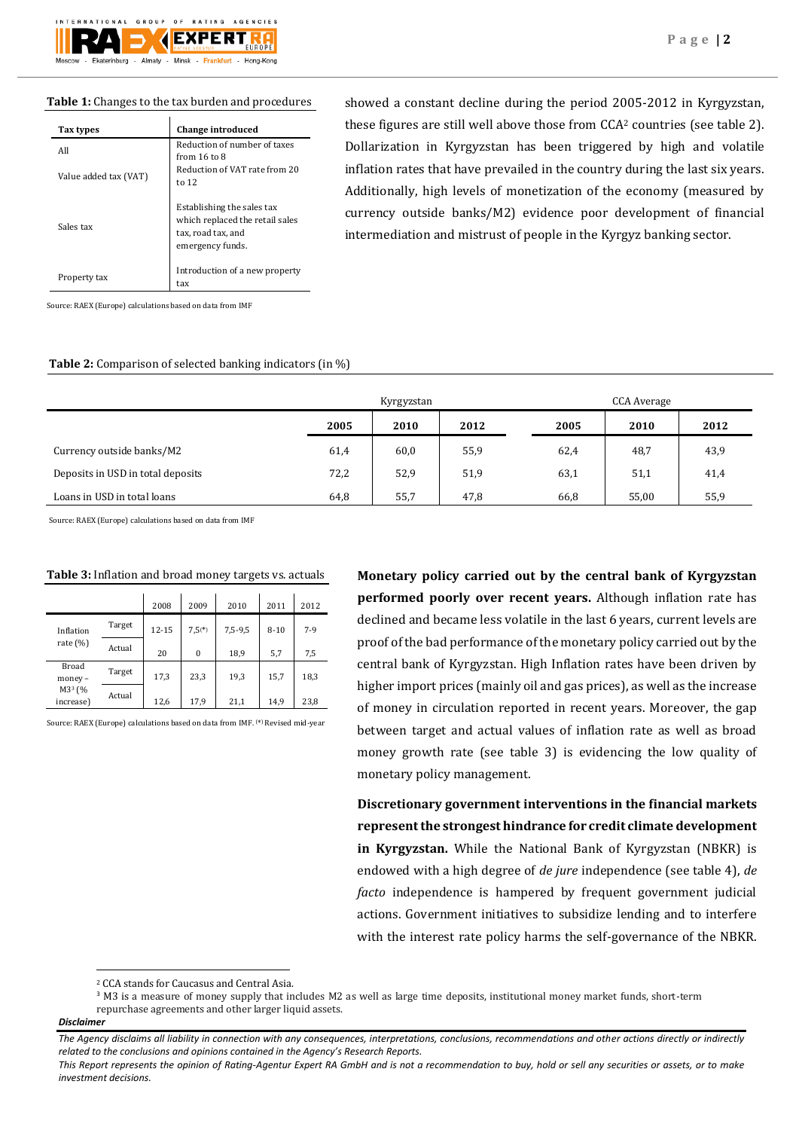### **Table 1:** Changes to the tax burden and procedures

| Tax types             | <b>Change introduced</b>                                                                                |
|-----------------------|---------------------------------------------------------------------------------------------------------|
| All                   | Reduction of number of taxes<br>from 16 to 8                                                            |
| Value added tax (VAT) | Reduction of VAT rate from 20<br>to 12                                                                  |
| Sales tax             | Establishing the sales tax<br>which replaced the retail sales<br>tax, road tax, and<br>emergency funds. |
| Property tax          | Introduction of a new property<br>tax                                                                   |

showed a constant decline during the period 2005-2012 in Kyrgyzstan, these figures are still well above those from CCA<sup>2</sup> countries (see table 2). Dollarization in Kyrgyzstan has been triggered by high and volatile inflation rates that have prevailed in the country during the last six years. Additionally, high levels of monetization of the economy (measured by currency outside banks/M2) evidence poor development of financial intermediation and mistrust of people in the Kyrgyz banking sector.

Source: RAEX (Europe) calculations based on data from IMF

#### **Table 2:** Comparison of selected banking indicators (in %)

|                                   |      | Kyrgyzstan |      |      | CCA Average |      |  |  |
|-----------------------------------|------|------------|------|------|-------------|------|--|--|
|                                   | 2005 | 2010       | 2012 | 2005 | 2010        | 2012 |  |  |
| Currency outside banks/M2         | 61,4 | 60,0       | 55,9 | 62,4 | 48,7        | 43,9 |  |  |
| Deposits in USD in total deposits | 72,2 | 52,9       | 51,9 | 63,1 | 51,1        | 41,4 |  |  |
| Loans in USD in total loans       | 64,8 | 55,7       | 47,8 | 66,8 | 55,00       | 55,9 |  |  |

Source: RAEX (Europe) calculations based on data from IMF

|                                 |        | 2008      | 2009         | 2010    | 2011     | 2012  |
|---------------------------------|--------|-----------|--------------|---------|----------|-------|
| Inflation                       | Target | $12 - 15$ | $7.5(*)$     | 7,5-9,5 | $8 - 10$ | $7-9$ |
| rate $(\%)$                     | Actual | 20        | $\mathbf{0}$ | 18,9    | 5,7      | 7,5   |
| Broad<br>money -                | Target | 17,3      | 23,3         | 19,3    | 15,7     | 18,3  |
| M3 <sup>3</sup> (%<br>increase) | Actual | 12,6      | 17,9         | 21,1    | 14,9     | 23,8  |

#### **Table 3:** Inflation and broad money targets vs. actuals

Source: RAEX (Europe) calculations based on data from IMF. (\* ) Revised mid-year

**Monetary policy carried out by the central bank of Kyrgyzstan performed poorly over recent years.** Although inflation rate has declined and became less volatile in the last 6 years, current levels are proof of the bad performance of the monetary policy carried out by the central bank of Kyrgyzstan. High Inflation rates have been driven by higher import prices (mainly oil and gas prices), as well as the increase of money in circulation reported in recent years. Moreover, the gap between target and actual values of inflation rate as well as broad money growth rate (see table 3) is evidencing the low quality of monetary policy management.

**Discretionary government interventions in the financial markets represent the strongest hindrance for credit climate development in Kyrgyzstan.** While the National Bank of Kyrgyzstan (NBKR) is endowed with a high degree of *de jure* independence (see table 4), *de facto* independence is hampered by frequent government judicial actions. Government initiatives to subsidize lending and to interfere with the interest rate policy harms the self-governance of the NBKR.

**<sup>.</sup>** <sup>2</sup> CCA stands for Caucasus and Central Asia.

<sup>3</sup> M3 is a measure of money supply that includes M2 as well as large time deposits, institutional money market funds, short-term repurchase agreements and other larger liquid assets.

*Disclaimer* 

*The Agency disclaims all liability in connection with any consequences, interpretations, conclusions, recommendations and other actions directly or indirectly related to the conclusions and opinions contained in the Agency's Research Reports.*

*This Report represents the opinion of Rating-Agentur Expert RA GmbH and is not a recommendation to buy, hold or sell any securities or assets, or to make investment decisions.*